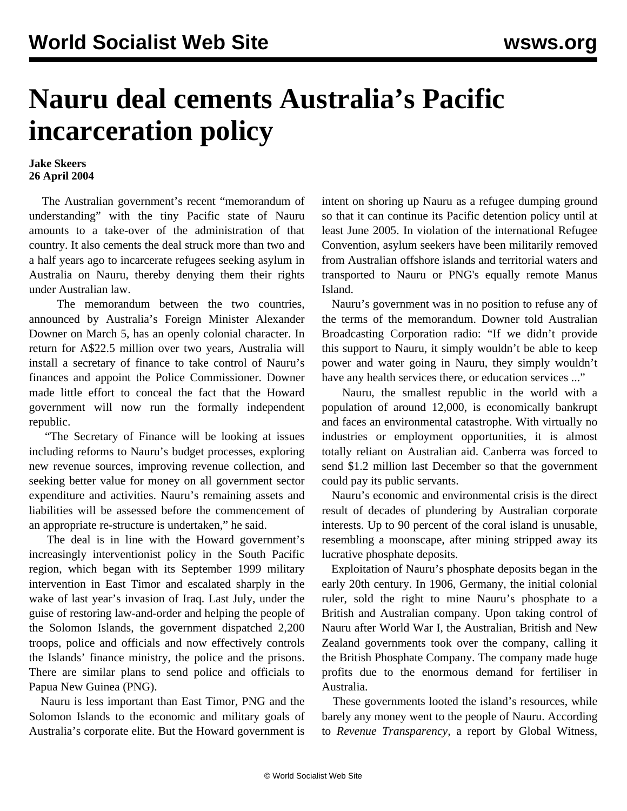## **Nauru deal cements Australia's Pacific incarceration policy**

## **Jake Skeers 26 April 2004**

 The Australian government's recent "memorandum of understanding" with the tiny Pacific state of Nauru amounts to a take-over of the administration of that country. It also cements the deal struck more than two and a half years ago to incarcerate refugees seeking asylum in Australia on Nauru, thereby denying them their rights under Australian law.

 The memorandum between the two countries, announced by Australia's Foreign Minister Alexander Downer on March 5, has an openly colonial character. In return for A\$22.5 million over two years, Australia will install a secretary of finance to take control of Nauru's finances and appoint the Police Commissioner. Downer made little effort to conceal the fact that the Howard government will now run the formally independent republic.

 "The Secretary of Finance will be looking at issues including reforms to Nauru's budget processes, exploring new revenue sources, improving revenue collection, and seeking better value for money on all government sector expenditure and activities. Nauru's remaining assets and liabilities will be assessed before the commencement of an appropriate re-structure is undertaken," he said.

 The deal is in line with the Howard government's increasingly interventionist policy in the South Pacific region, which began with its September 1999 military intervention in East Timor and escalated sharply in the wake of last year's invasion of Iraq. Last July, under the guise of restoring law-and-order and helping the people of the Solomon Islands, the government dispatched 2,200 troops, police and officials and now effectively controls the Islands' finance ministry, the police and the prisons. There are similar plans to send police and officials to Papua New Guinea (PNG).

 Nauru is less important than East Timor, PNG and the Solomon Islands to the economic and military goals of Australia's corporate elite. But the Howard government is intent on shoring up Nauru as a refugee dumping ground so that it can continue its Pacific detention policy until at least June 2005. In violation of the international Refugee Convention, asylum seekers have been militarily removed from Australian offshore islands and territorial waters and transported to Nauru or PNG's equally remote Manus Island.

 Nauru's government was in no position to refuse any of the terms of the memorandum. Downer told Australian Broadcasting Corporation radio: "If we didn't provide this support to Nauru, it simply wouldn't be able to keep power and water going in Nauru, they simply wouldn't have any health services there, or education services ..."

 Nauru, the smallest republic in the world with a population of around 12,000, is economically bankrupt and faces an environmental catastrophe. With virtually no industries or employment opportunities, it is almost totally reliant on Australian aid. Canberra was forced to send \$1.2 million last December so that the government could pay its public servants.

 Nauru's economic and environmental crisis is the direct result of decades of plundering by Australian corporate interests. Up to 90 percent of the coral island is unusable, resembling a moonscape, after mining stripped away its lucrative phosphate deposits.

 Exploitation of Nauru's phosphate deposits began in the early 20th century. In 1906, Germany, the initial colonial ruler, sold the right to mine Nauru's phosphate to a British and Australian company. Upon taking control of Nauru after World War I, the Australian, British and New Zealand governments took over the company, calling it the British Phosphate Company. The company made huge profits due to the enormous demand for fertiliser in Australia.

 These governments looted the island's resources, while barely any money went to the people of Nauru. According to *Revenue Transparency,* a report by Global Witness,